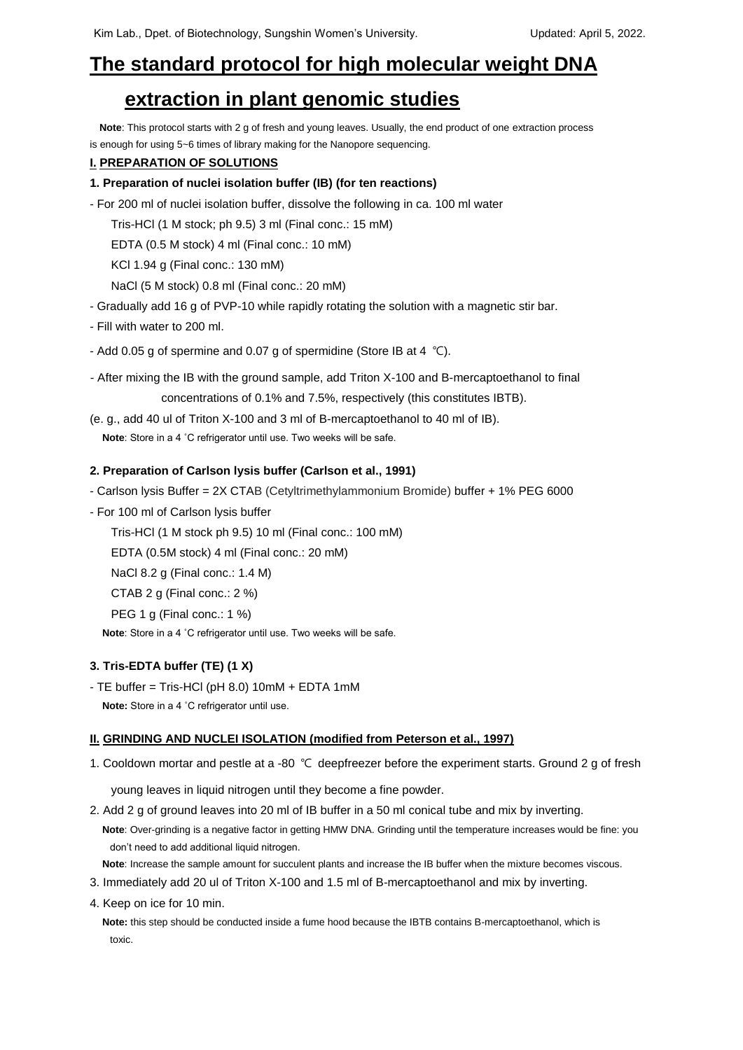# **The standard protocol for high molecular weight DNA**

# **extraction in plant genomic studies**

**Note**: This protocol starts with 2 g of fresh and young leaves. Usually, the end product of one extraction process is enough for using 5~6 times of library making for the Nanopore sequencing.

### **I. PREPARATION OF SOLUTIONS**

### **1. Preparation of nuclei isolation buffer (IB) (for ten reactions)**

- For 200 ml of nuclei isolation buffer, dissolve the following in ca. 100 ml water

Tris-HCl (1 M stock; ph 9.5) 3 ml (Final conc.: 15 mM)

EDTA (0.5 M stock) 4 ml (Final conc.: 10 mM)

KCl 1.94 g (Final conc.: 130 mM)

NaCl (5 M stock) 0.8 ml (Final conc.: 20 mM)

- Gradually add 16 g of PVP-10 while rapidly rotating the solution with a magnetic stir bar.
- Fill with water to 200 ml.
- Add 0.05 g of spermine and 0.07 g of spermidine (Store IB at 4 ℃).

- After mixing the IB with the ground sample, add Triton X-100 and B-mercaptoethanol to final concentrations of 0.1% and 7.5%, respectively (this constitutes IBTB).

(e. g., add 40 ul of Triton X-100 and 3 ml of B-mercaptoethanol to 40 ml of IB).

**Note**: Store in a 4 ˚C refrigerator until use. Two weeks will be safe.

#### **2. Preparation of Carlson lysis buffer (Carlson et al., 1991)**

- Carlson lysis Buffer = 2X CTAB (Cetyltrimethylammonium Bromide) buffer + 1% PEG 6000
- For 100 ml of Carlson lysis buffer

Tris-HCl (1 M stock ph 9.5) 10 ml (Final conc.: 100 mM)

EDTA (0.5M stock) 4 ml (Final conc.: 20 mM)

- NaCl 8.2 g (Final conc.: 1.4 M)
- CTAB 2 g (Final conc.: 2 %)

PEG 1 g (Final conc.: 1 %)

**Note**: Store in a 4 ˚C refrigerator until use. Two weeks will be safe.

# **3. Tris-EDTA buffer (TE) (1 X)**

- TE buffer = Tris-HCl (pH 8.0) 10mM + EDTA 1mM **Note:** Store in a 4 ˚C refrigerator until use.

# **II. GRINDING AND NUCLEI ISOLATION (modified from Peterson et al., 1997)**

1. Cooldown mortar and pestle at a -80 ℃ deepfreezer before the experiment starts. Ground 2 g of fresh

young leaves in liquid nitrogen until they become a fine powder.

2. Add 2 g of ground leaves into 20 ml of IB buffer in a 50 ml conical tube and mix by inverting.

**Note**: Over-grinding is a negative factor in getting HMW DNA. Grinding until the temperature increases would be fine: you don't need to add additional liquid nitrogen.

**Note**: Increase the sample amount for succulent plants and increase the IB buffer when the mixture becomes viscous.

- 3. Immediately add 20 ul of Triton X-100 and 1.5 ml of B-mercaptoethanol and mix by inverting.
- 4. Keep on ice for 10 min.

**Note:** this step should be conducted inside a fume hood because the IBTB contains B-mercaptoethanol, which is toxic.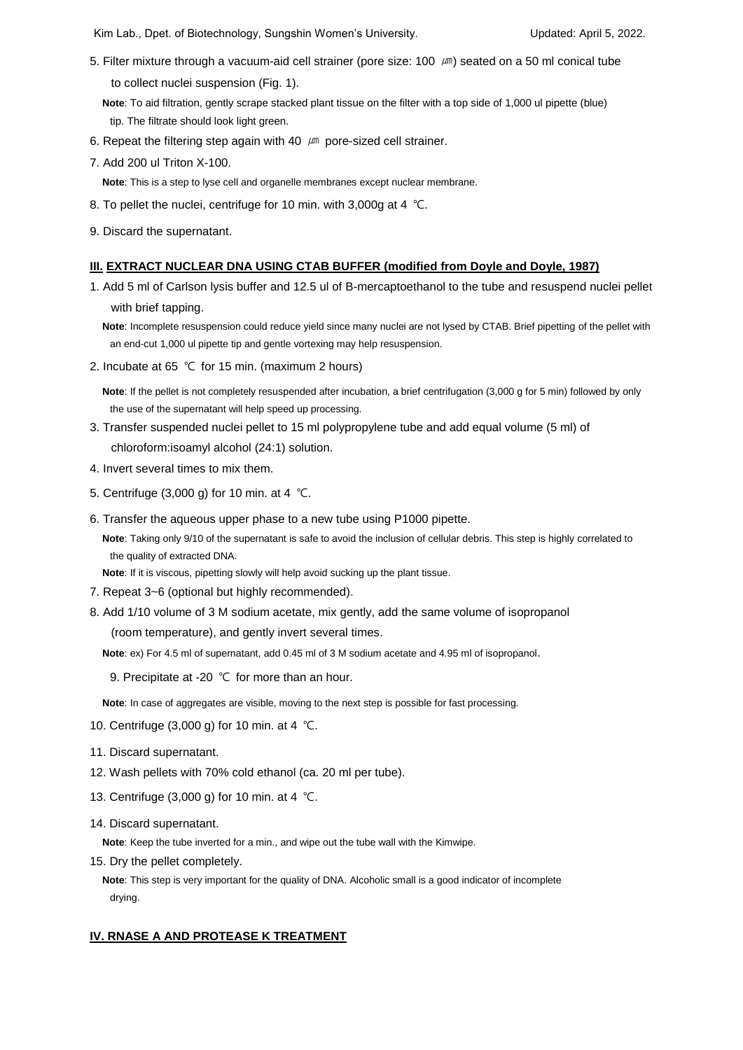Kim Lab., Dpet. of Biotechnology, Sungshin Women's University. **Example 2018** Updated: April 5, 2022.

- 5. Filter mixture through a vacuum-aid cell strainer (pore size: 100 µm) seated on a 50 ml conical tube to collect nuclei suspension (Fig. 1).
	- **Note**: To aid filtration, gently scrape stacked plant tissue on the filter with a top side of 1,000 ul pipette (blue) tip. The filtrate should look light green.
- 6. Repeat the filtering step again with 40  $\mu$ m pore-sized cell strainer.
- 7. Add 200 ul Triton X-100.
	- **Note**: This is a step to lyse cell and organelle membranes except nuclear membrane.
- 8. To pellet the nuclei, centrifuge for 10 min. with 3,000g at 4 ℃.
- 9. Discard the supernatant.

#### **III. EXTRACT NUCLEAR DNA USING CTAB BUFFER (modified from Doyle and Doyle, 1987)**

1. Add 5 ml of Carlson lysis buffer and 12.5 ul of B-mercaptoethanol to the tube and resuspend nuclei pellet with brief tapping.

**Note**: Incomplete resuspension could reduce yield since many nuclei are not lysed by CTAB. Brief pipetting of the pellet with an end-cut 1,000 ul pipette tip and gentle vortexing may help resuspension.

2. Incubate at 65 ℃ for 15 min. (maximum 2 hours)

**Note**: If the pellet is not completely resuspended after incubation, a brief centrifugation (3,000 g for 5 min) followed by only the use of the supernatant will help speed up processing.

- 3. Transfer suspended nuclei pellet to 15 ml polypropylene tube and add equal volume (5 ml) of chloroform:isoamyl alcohol (24:1) solution.
- 4. Invert several times to mix them.
- 5. Centrifuge (3,000 g) for 10 min. at 4 ℃.
- 6. Transfer the aqueous upper phase to a new tube using P1000 pipette.

**Note**: Taking only 9/10 of the supernatant is safe to avoid the inclusion of cellular debris. This step is highly correlated to the quality of extracted DNA.

**Note**: If it is viscous, pipetting slowly will help avoid sucking up the plant tissue.

- 7. Repeat 3~6 (optional but highly recommended).
- 8. Add 1/10 volume of 3 M sodium acetate, mix gently, add the same volume of isopropanol

(room temperature), and gently invert several times.

**Note**: ex) For 4.5 ml of supernatant, add 0.45 ml of 3 M sodium acetate and 4.95 ml of isopropanol.

9. Precipitate at -20 ℃ for more than an hour.

**Note**: In case of aggregates are visible, moving to the next step is possible for fast processing.

- 10. Centrifuge (3,000 g) for 10 min. at 4 ℃.
- 11. Discard supernatant.
- 12. Wash pellets with 70% cold ethanol (ca. 20 ml per tube).
- 13. Centrifuge (3,000 g) for 10 min. at 4 ℃.
- 14. Discard supernatant.

**Note**: Keep the tube inverted for a min., and wipe out the tube wall with the Kimwipe.

15. Dry the pellet completely.

**Note**: This step is very important for the quality of DNA. Alcoholic small is a good indicator of incomplete drying.

# **IV. RNASE A AND PROTEASE K TREATMENT**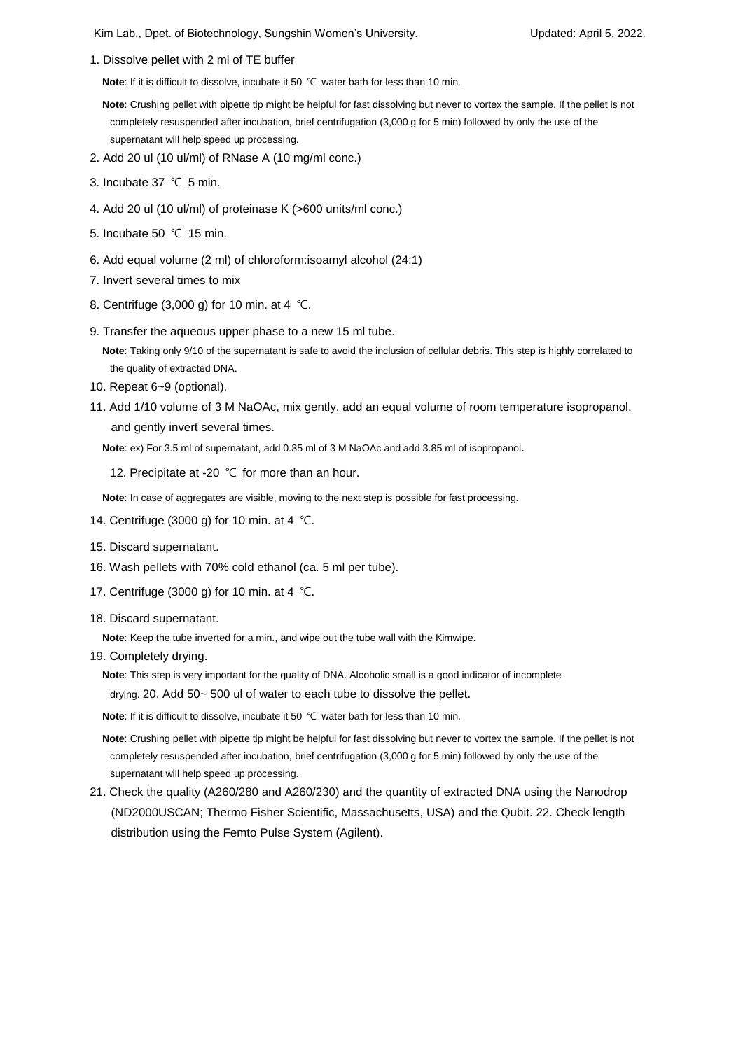Kim Lab., Dpet. of Biotechnology, Sungshin Women's University. The Many Contract April 5, 2022.

1. Dissolve pellet with 2 ml of TE buffer

**Note**: If it is difficult to dissolve, incubate it 50 ℃ water bath for less than 10 min.

**Note**: Crushing pellet with pipette tip might be helpful for fast dissolving but never to vortex the sample. If the pellet is not completely resuspended after incubation, brief centrifugation (3,000 g for 5 min) followed by only the use of the supernatant will help speed up processing.

- 2. Add 20 ul (10 ul/ml) of RNase A (10 mg/ml conc.)
- 3. Incubate 37 ℃ 5 min.
- 4. Add 20 ul (10 ul/ml) of proteinase K (>600 units/ml conc.)
- 5. Incubate 50 ℃ 15 min.
- 6. Add equal volume (2 ml) of chloroform:isoamyl alcohol (24:1)
- 7. Invert several times to mix
- 8. Centrifuge (3,000 g) for 10 min. at 4 ℃.
- 9. Transfer the aqueous upper phase to a new 15 ml tube.

**Note**: Taking only 9/10 of the supernatant is safe to avoid the inclusion of cellular debris. This step is highly correlated to the quality of extracted DNA.

- 10. Repeat 6~9 (optional).
- 11. Add 1/10 volume of 3 M NaOAc, mix gently, add an equal volume of room temperature isopropanol, and gently invert several times.

**Note**: ex) For 3.5 ml of supernatant, add 0.35 ml of 3 M NaOAc and add 3.85 ml of isopropanol.

12. Precipitate at -20 ℃ for more than an hour.

**Note**: In case of aggregates are visible, moving to the next step is possible for fast processing.

- 14. Centrifuge (3000 g) for 10 min. at 4 ℃.
- 15. Discard supernatant.
- 16. Wash pellets with 70% cold ethanol (ca. 5 ml per tube).
- 17. Centrifuge (3000 g) for 10 min. at 4 ℃.
- 18. Discard supernatant.

**Note**: Keep the tube inverted for a min., and wipe out the tube wall with the Kimwipe.

19. Completely drying.

**Note**: This step is very important for the quality of DNA. Alcoholic small is a good indicator of incomplete drying. 20. Add 50~ 500 ul of water to each tube to dissolve the pellet.

**Note**: If it is difficult to dissolve, incubate it 50 ℃ water bath for less than 10 min.

**Note**: Crushing pellet with pipette tip might be helpful for fast dissolving but never to vortex the sample. If the pellet is not completely resuspended after incubation, brief centrifugation (3,000 g for 5 min) followed by only the use of the supernatant will help speed up processing.

21. Check the quality (A260/280 and A260/230) and the quantity of extracted DNA using the Nanodrop (ND2000USCAN; Thermo Fisher Scientific, Massachusetts, USA) and the Qubit. 22. Check length distribution using the Femto Pulse System (Agilent).